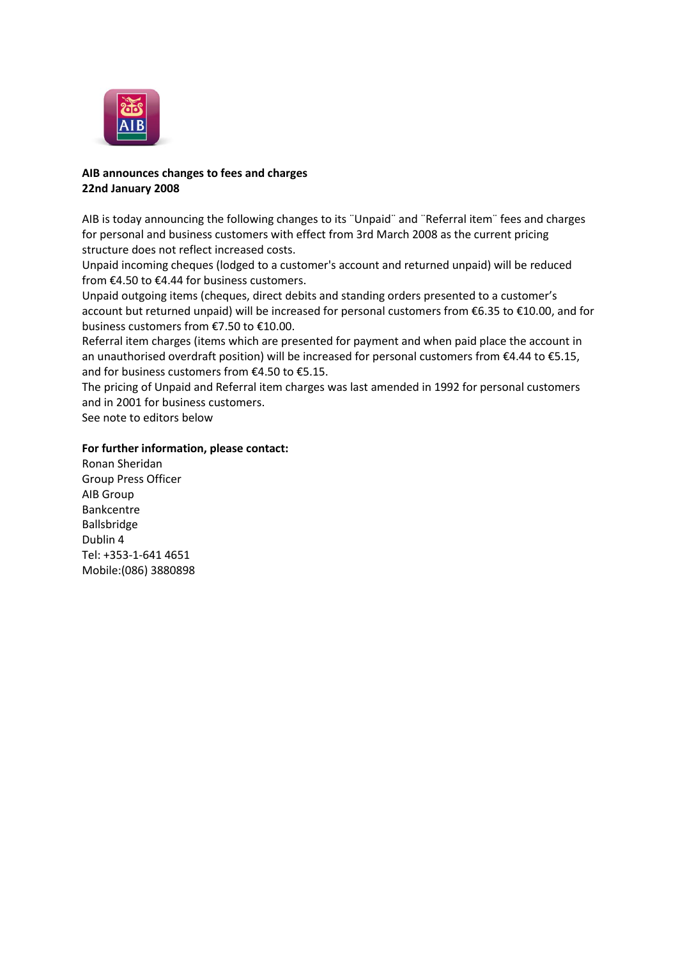

## **AIB announces changes to fees and charges 22nd January 2008**

AIB is today announcing the following changes to its ¨Unpaid¨ and ¨Referral item¨ fees and charges for personal and business customers with effect from 3rd March 2008 as the current pricing structure does not reflect increased costs.

Unpaid incoming cheques (lodged to a customer's account and returned unpaid) will be reduced from €4.50 to €4.44 for business customers.

Unpaid outgoing items (cheques, direct debits and standing orders presented to a customer's account but returned unpaid) will be increased for personal customers from €6.35 to €10.00, and for business customers from €7.50 to €10.00.

Referral item charges (items which are presented for payment and when paid place the account in an unauthorised overdraft position) will be increased for personal customers from €4.44 to €5.15, and for business customers from €4.50 to €5.15.

The pricing of Unpaid and Referral item charges was last amended in 1992 for personal customers and in 2001 for business customers.

See note to editors below

## **For further information, please contact:**

Ronan Sheridan Group Press Officer AIB Group Bankcentre Ballsbridge Dublin 4 Tel: +353-1-641 4651 Mobile:(086) 3880898